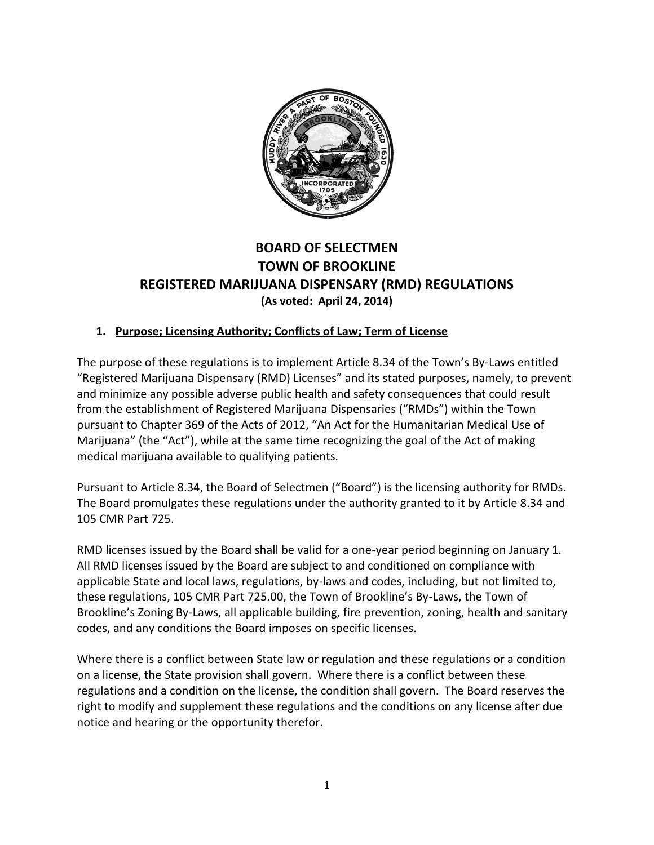

# **BOARD OF SELECTMEN TOWN OF BROOKLINE REGISTERED MARIJUANA DISPENSARY (RMD) REGULATIONS (As voted: April 24, 2014)**

### **1. Purpose; Licensing Authority; Conflicts of Law; Term of License**

The purpose of these regulations is to implement Article 8.34 of the Town's By-Laws entitled "Registered Marijuana Dispensary (RMD) Licenses" and its stated purposes, namely, to prevent and minimize any possible adverse public health and safety consequences that could result from the establishment of Registered Marijuana Dispensaries ("RMDs") within the Town pursuant to Chapter 369 of the Acts of 2012, "An Act for the Humanitarian Medical Use of Marijuana" (the "Act"), while at the same time recognizing the goal of the Act of making medical marijuana available to qualifying patients.

Pursuant to Article 8.34, the Board of Selectmen ("Board") is the licensing authority for RMDs. The Board promulgates these regulations under the authority granted to it by Article 8.34 and 105 CMR Part 725.

RMD licenses issued by the Board shall be valid for a one-year period beginning on January 1. All RMD licenses issued by the Board are subject to and conditioned on compliance with applicable State and local laws, regulations, by-laws and codes, including, but not limited to, these regulations, 105 CMR Part 725.00, the Town of Brookline's By-Laws, the Town of Brookline's Zoning By-Laws, all applicable building, fire prevention, zoning, health and sanitary codes, and any conditions the Board imposes on specific licenses.

Where there is a conflict between State law or regulation and these regulations or a condition on a license, the State provision shall govern. Where there is a conflict between these regulations and a condition on the license, the condition shall govern. The Board reserves the right to modify and supplement these regulations and the conditions on any license after due notice and hearing or the opportunity therefor.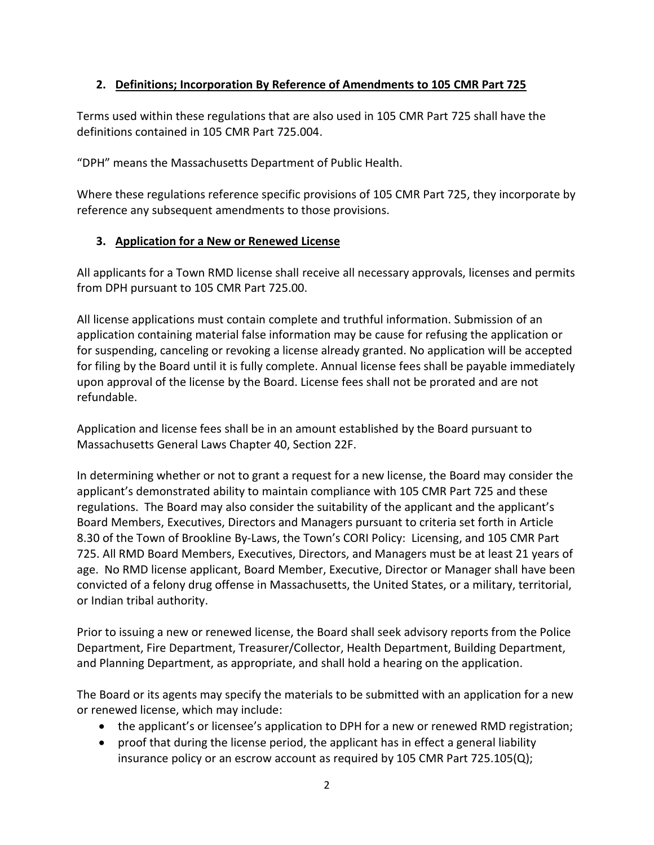### **2. Definitions; Incorporation By Reference of Amendments to 105 CMR Part 725**

Terms used within these regulations that are also used in 105 CMR Part 725 shall have the definitions contained in 105 CMR Part 725.004.

"DPH" means the Massachusetts Department of Public Health.

Where these regulations reference specific provisions of 105 CMR Part 725, they incorporate by reference any subsequent amendments to those provisions.

### **3. Application for a New or Renewed License**

All applicants for a Town RMD license shall receive all necessary approvals, licenses and permits from DPH pursuant to 105 CMR Part 725.00.

All license applications must contain complete and truthful information. Submission of an application containing material false information may be cause for refusing the application or for suspending, canceling or revoking a license already granted. No application will be accepted for filing by the Board until it is fully complete. Annual license fees shall be payable immediately upon approval of the license by the Board. License fees shall not be prorated and are not refundable.

Application and license fees shall be in an amount established by the Board pursuant to Massachusetts General Laws Chapter 40, Section 22F.

In determining whether or not to grant a request for a new license, the Board may consider the applicant's demonstrated ability to maintain compliance with 105 CMR Part 725 and these regulations. The Board may also consider the suitability of the applicant and the applicant's Board Members, Executives, Directors and Managers pursuant to criteria set forth in Article 8.30 of the Town of Brookline By-Laws, the Town's CORI Policy: Licensing, and 105 CMR Part 725. All RMD Board Members, Executives, Directors, and Managers must be at least 21 years of age. No RMD license applicant, Board Member, Executive, Director or Manager shall have been convicted of a felony drug offense in Massachusetts, the United States, or a military, territorial, or Indian tribal authority.

Prior to issuing a new or renewed license, the Board shall seek advisory reports from the Police Department, Fire Department, Treasurer/Collector, Health Department, Building Department, and Planning Department, as appropriate, and shall hold a hearing on the application.

The Board or its agents may specify the materials to be submitted with an application for a new or renewed license, which may include:

- the applicant's or licensee's application to DPH for a new or renewed RMD registration;
- proof that during the license period, the applicant has in effect a general liability insurance policy or an escrow account as required by 105 CMR Part 725.105(Q);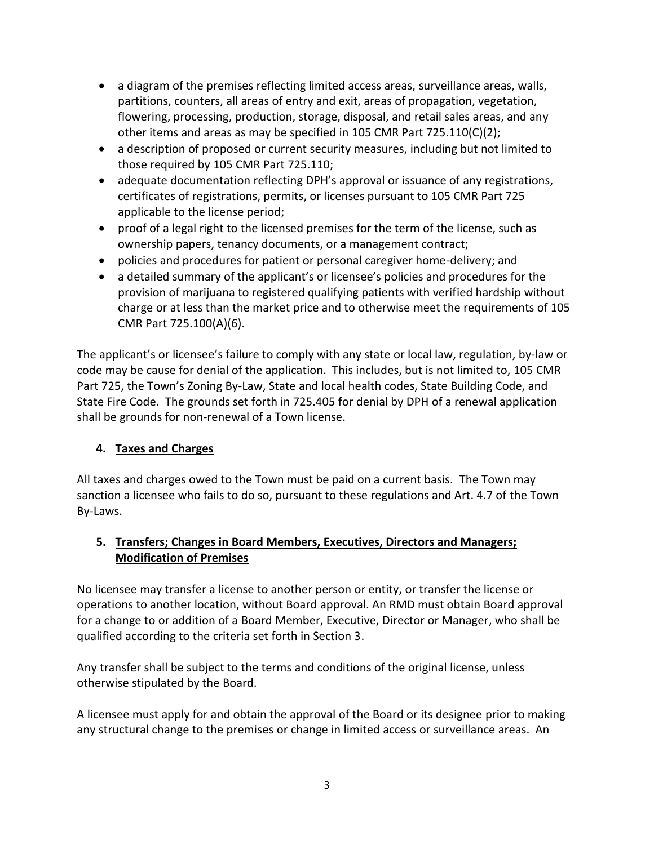- a diagram of the premises reflecting limited access areas, surveillance areas, walls, partitions, counters, all areas of entry and exit, areas of propagation, vegetation, flowering, processing, production, storage, disposal, and retail sales areas, and any other items and areas as may be specified in 105 CMR Part 725.110(C)(2);
- a description of proposed or current security measures, including but not limited to those required by 105 CMR Part 725.110;
- adequate documentation reflecting DPH's approval or issuance of any registrations, certificates of registrations, permits, or licenses pursuant to 105 CMR Part 725 applicable to the license period;
- proof of a legal right to the licensed premises for the term of the license, such as ownership papers, tenancy documents, or a management contract;
- policies and procedures for patient or personal caregiver home-delivery; and
- a detailed summary of the applicant's or licensee's policies and procedures for the provision of marijuana to registered qualifying patients with verified hardship without charge or at less than the market price and to otherwise meet the requirements of 105 CMR Part 725.100(A)(6).

The applicant's or licensee's failure to comply with any state or local law, regulation, by-law or code may be cause for denial of the application. This includes, but is not limited to, 105 CMR Part 725, the Town's Zoning By-Law, State and local health codes, State Building Code, and State Fire Code. The grounds set forth in 725.405 for denial by DPH of a renewal application shall be grounds for non-renewal of a Town license.

## **4. Taxes and Charges**

All taxes and charges owed to the Town must be paid on a current basis. The Town may sanction a licensee who fails to do so, pursuant to these regulations and Art. 4.7 of the Town By-Laws.

## **5. Transfers; Changes in Board Members, Executives, Directors and Managers; Modification of Premises**

No licensee may transfer a license to another person or entity, or transfer the license or operations to another location, without Board approval. An RMD must obtain Board approval for a change to or addition of a Board Member, Executive, Director or Manager, who shall be qualified according to the criteria set forth in Section 3.

Any transfer shall be subject to the terms and conditions of the original license, unless otherwise stipulated by the Board.

A licensee must apply for and obtain the approval of the Board or its designee prior to making any structural change to the premises or change in limited access or surveillance areas. An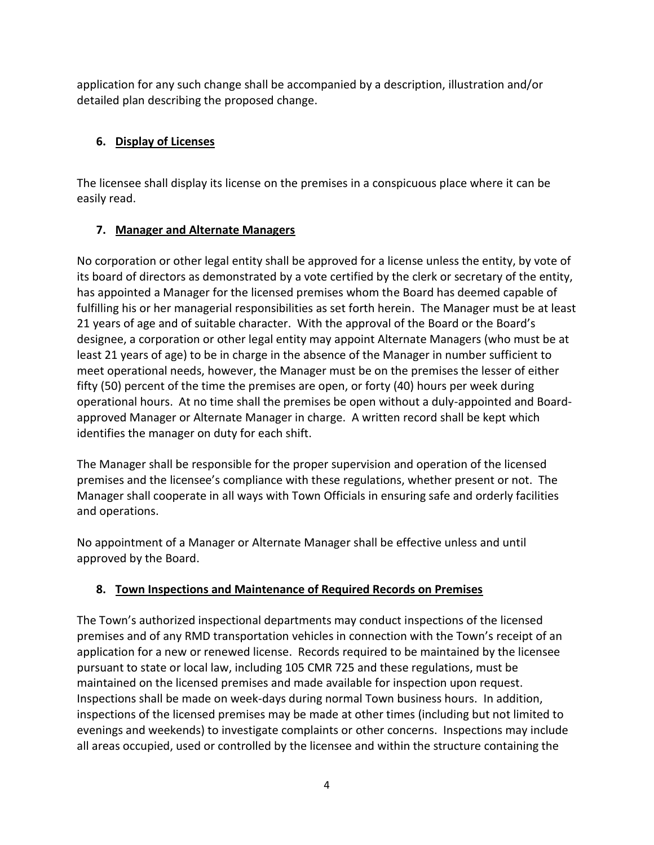application for any such change shall be accompanied by a description, illustration and/or detailed plan describing the proposed change.

## **6. Display of Licenses**

The licensee shall display its license on the premises in a conspicuous place where it can be easily read.

## **7. Manager and Alternate Managers**

No corporation or other legal entity shall be approved for a license unless the entity, by vote of its board of directors as demonstrated by a vote certified by the clerk or secretary of the entity, has appointed a Manager for the licensed premises whom the Board has deemed capable of fulfilling his or her managerial responsibilities as set forth herein. The Manager must be at least 21 years of age and of suitable character. With the approval of the Board or the Board's designee, a corporation or other legal entity may appoint Alternate Managers (who must be at least 21 years of age) to be in charge in the absence of the Manager in number sufficient to meet operational needs, however, the Manager must be on the premises the lesser of either fifty (50) percent of the time the premises are open, or forty (40) hours per week during operational hours. At no time shall the premises be open without a duly-appointed and Boardapproved Manager or Alternate Manager in charge. A written record shall be kept which identifies the manager on duty for each shift.

The Manager shall be responsible for the proper supervision and operation of the licensed premises and the licensee's compliance with these regulations, whether present or not. The Manager shall cooperate in all ways with Town Officials in ensuring safe and orderly facilities and operations.

No appointment of a Manager or Alternate Manager shall be effective unless and until approved by the Board.

## **8. Town Inspections and Maintenance of Required Records on Premises**

The Town's authorized inspectional departments may conduct inspections of the licensed premises and of any RMD transportation vehicles in connection with the Town's receipt of an application for a new or renewed license. Records required to be maintained by the licensee pursuant to state or local law, including 105 CMR 725 and these regulations, must be maintained on the licensed premises and made available for inspection upon request. Inspections shall be made on week-days during normal Town business hours. In addition, inspections of the licensed premises may be made at other times (including but not limited to evenings and weekends) to investigate complaints or other concerns. Inspections may include all areas occupied, used or controlled by the licensee and within the structure containing the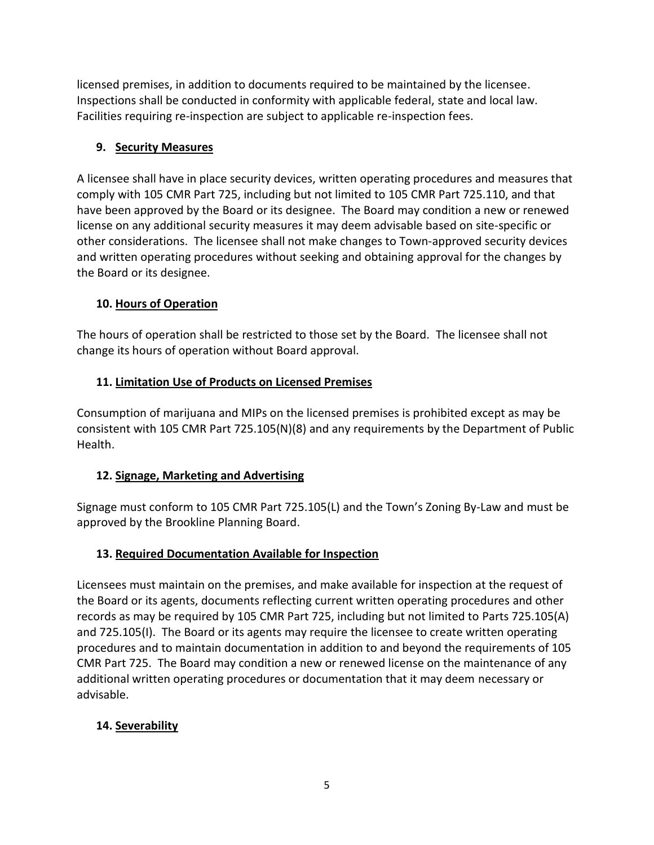licensed premises, in addition to documents required to be maintained by the licensee. Inspections shall be conducted in conformity with applicable federal, state and local law. Facilities requiring re-inspection are subject to applicable re-inspection fees.

### **9. Security Measures**

A licensee shall have in place security devices, written operating procedures and measures that comply with 105 CMR Part 725, including but not limited to 105 CMR Part 725.110, and that have been approved by the Board or its designee. The Board may condition a new or renewed license on any additional security measures it may deem advisable based on site-specific or other considerations. The licensee shall not make changes to Town-approved security devices and written operating procedures without seeking and obtaining approval for the changes by the Board or its designee.

### **10. Hours of Operation**

The hours of operation shall be restricted to those set by the Board. The licensee shall not change its hours of operation without Board approval.

## **11. Limitation Use of Products on Licensed Premises**

Consumption of marijuana and MIPs on the licensed premises is prohibited except as may be consistent with 105 CMR Part 725.105(N)(8) and any requirements by the Department of Public Health.

#### **12. Signage, Marketing and Advertising**

Signage must conform to 105 CMR Part 725.105(L) and the Town's Zoning By-Law and must be approved by the Brookline Planning Board.

## **13. Required Documentation Available for Inspection**

Licensees must maintain on the premises, and make available for inspection at the request of the Board or its agents, documents reflecting current written operating procedures and other records as may be required by 105 CMR Part 725, including but not limited to Parts 725.105(A) and 725.105(I). The Board or its agents may require the licensee to create written operating procedures and to maintain documentation in addition to and beyond the requirements of 105 CMR Part 725. The Board may condition a new or renewed license on the maintenance of any additional written operating procedures or documentation that it may deem necessary or advisable.

#### **14. Severability**